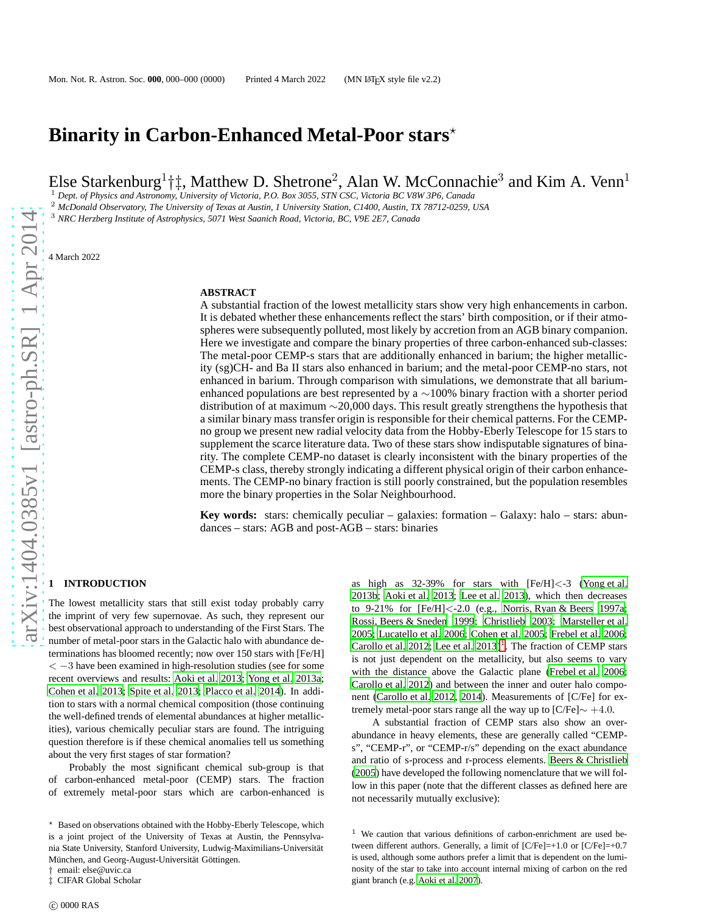# Binarity in Carbon-Enhanced Metal-Poor stars<sup>\*</sup>

Else Starkenburg<sup>1</sup>†‡, Matthew D. Shetrone<sup>2</sup>, Alan W. McConnachie<sup>3</sup> and Kim A. Venn<sup>1</sup>

<sup>1</sup> *Dept. of Physics and Astronomy, University of Victoria, P.O. Box 3055, STN CSC, Victoria BC V8W 3P6, Canada*

<sup>2</sup> *McDonald Observatory, The University of Texas at Austin, 1 University Station, C1400, Austin, TX 78712-0259, USA*

<sup>3</sup> *NRC Herzberg Institute of Astrophysics, 5071 West Saanich Road, Victoria, BC, V9E 2E7, Canada*

4 March 2022

#### **ABSTRACT**

A substantial fraction of the lowest metallicity stars show very high enhancements in carbon. It is debated whether these enhancements reflect the stars' birth composition, or if their atmospheres were subsequently polluted, most likely by accretion from an AGB binary companion. Here we investigate and compare the binary properties of three carbon-enhanced sub-classes: The metal-poor CEMP-s stars that are additionally enhanced in barium; the higher metallicity (sg)CH- and Ba II stars also enhanced in barium; and the metal-poor CEMP-no stars, not enhanced in barium. Through comparison with simulations, we demonstrate that all bariumenhanced populations are best represented by a ∼100% binary fraction with a shorter period distribution of at maximum ∼20,000 days. This result greatly strengthens the hypothesis that a similar binary mass transfer origin is responsible for their chemical patterns. For the CEMPno group we present new radial velocity data from the Hobby-Eberly Telescope for 15 stars to supplement the scarce literature data. Two of these stars show indisputable signatures of binarity. The complete CEMP-no dataset is clearly inconsistent with the binary properties of the CEMP-s class, thereby strongly indicating a different physical origin of their carbon enhancements. The CEMP-no binary fraction is still poorly constrained, but the population resembles more the binary properties in the Solar Neighbourhood.

**Key words:** stars: chemically peculiar – galaxies: formation – Galaxy: halo – stars: abundances – stars: AGB and post-AGB – stars: binaries

# **1 INTRODUCTION**

The lowest metallicity stars that still exist today probably carry the imprint of very few supernovae. As such, they represent our best observational approach to understanding of the First Stars. The number of metal-poor stars in the Galactic halo with abundance determinations has bloomed recently; now over 150 stars with [Fe/H]  $<-3$  have been examined in high-resolution studies (see for some recent overviews and results: [Aoki et al. 2013;](#page-11-0) [Yong et al. 2013a;](#page-12-0) [Cohen et al. 2013](#page-11-1); [Spite et al. 2013](#page-12-1); [Placco et al. 2014](#page-12-2)). In addition to stars with a normal chemical composition (those continuing the well-defined trends of elemental abundances at higher metallicities), various chemically peculiar stars are found. The intriguing question therefore is if these chemical anomalies tell us something about the very first stages of star formation?

Probably the most significant chemical sub-group is that of carbon-enhanced metal-poor (CEMP) stars. The fraction of extremely metal-poor stars which are carbon-enhanced is

email: else@uvic.ca ‡ CIFAR Global Scholar

as high as 32-39% for stars with [Fe/H]<-3 [\(Yong et al.](#page-12-3) [2013b](#page-12-3); [Aoki et al. 2013](#page-11-0); [Lee et al. 2013](#page-12-4)), which then decreases to 9-21% for [Fe/H]<-2.0 (e.g., [Norris, Ryan & Beers 1997a;](#page-12-5) [Rossi, Beers & Sneden 1999](#page-12-6); [Christlieb 2003](#page-11-2); [Marsteller et al.](#page-12-7) [2005](#page-12-7); [Lucatello et al. 2006](#page-12-8); [Cohen et al. 2005](#page-11-3); [Frebel et al. 2006;](#page-11-4) [Carollo et al. 2012](#page-11-5); Lee et al.  $2013$  $2013$  $2013$ <sup>1</sup>. The fraction of CEMP stars is not just dependent on the metallicity, but also seems to vary with the distance above the Galactic plane [\(Frebel et al. 2006;](#page-11-4) [Carollo et al. 2012](#page-11-5)) and between the inner and outer halo component [\(Carollo et al. 2012](#page-11-5), [2014\)](#page-11-6). Measurements of [C/Fe] for extremely metal-poor stars range all the way up to [C/Fe]∼ +4.0.

A substantial fraction of CEMP stars also show an overabundance in heavy elements, these are generally called "CEMPs", "CEMP-r", or "CEMP-r/s" depending on the exact abundance and ratio of s-process and r-process elements. [Beers & Christlieb](#page-11-7) [\(2005](#page-11-7)) have developed the following nomenclature that we will follow in this paper (note that the different classes as defined here are not necessarily mutually exclusive):

<sup>⋆</sup> Based on observations obtained with the Hobby-Eberly Telescope, which is a joint project of the University of Texas at Austin, the Pennsylvania State University, Stanford University, Ludwig-Maximilians-Universität München, and Georg-August-Universität Göttingen.

<span id="page-0-0"></span> $1$  We caution that various definitions of carbon-enrichment are used between different authors. Generally, a limit of  $[C/Fe]=+1.0$  or  $[C/Fe]=+0.7$ is used, although some authors prefer a limit that is dependent on the luminosity of the star to take into account internal mixing of carbon on the red giant branch (e.g. [Aoki et al. 2007](#page-11-8)).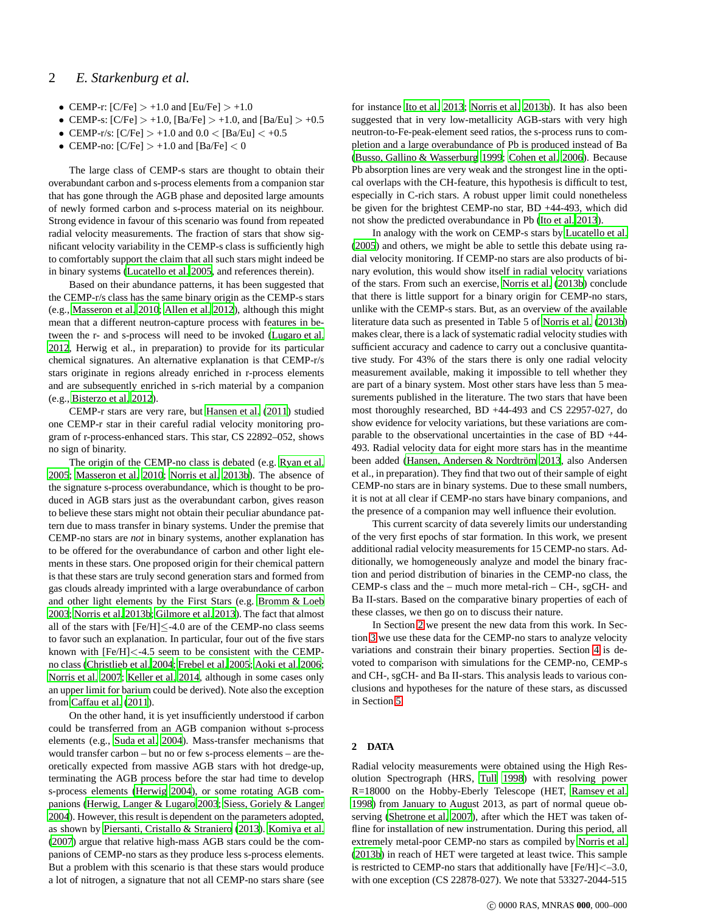# 2 *E. Starkenburg et al.*

- CEMP-r:  $[C/Fe] > +1.0$  and  $[Eu/Fe] > +1.0$
- CEMP-s:  $[C/Fe] > +1.0$ ,  $[Ba/Fe] > +1.0$ , and  $[Ba/Eu] > +0.5$
- CEMP-r/s:  $[C/Fe] > +1.0$  and  $0.0 < [Ba/Eu] < +0.5$
- CEMP-no:  $[C/Fe] > +1.0$  and  $[Ba/Fe] < 0$

The large class of CEMP-s stars are thought to obtain their overabundant carbon and s-process elements from a companion star that has gone through the AGB phase and deposited large amounts of newly formed carbon and s-process material on its neighbour. Strong evidence in favour of this scenario was found from repeated radial velocity measurements. The fraction of stars that show significant velocity variability in the CEMP-s class is sufficiently high to comfortably support the claim that all such stars might indeed be in binary systems [\(Lucatello et al. 2005,](#page-12-9) and references therein).

Based on their abundance patterns, it has been suggested that the CEMP-r/s class has the same binary origin as the CEMP-s stars (e.g., [Masseron et al. 2010;](#page-12-10) [Allen et al. 2012](#page-11-9)), although this might mean that a different neutron-capture process with features in between the r- and s-process will need to be invoked [\(Lugaro et al.](#page-12-11) [2012](#page-12-11), Herwig et al., in preparation) to provide for its particular chemical signatures. An alternative explanation is that CEMP-r/s stars originate in regions already enriched in r-process elements and are subsequently enriched in s-rich material by a companion (e.g., [Bisterzo et al. 2012](#page-11-10)).

CEMP-r stars are very rare, but [Hansen et al. \(2011](#page-11-11)) studied one CEMP-r star in their careful radial velocity monitoring program of r-process-enhanced stars. This star, CS 22892–052, shows no sign of binarity.

The origin of the CEMP-no class is debated (e.g. [Ryan et al.](#page-12-12) [2005](#page-12-12); [Masseron et al. 2010;](#page-12-10) [Norris et al. 2013b](#page-12-13)). The absence of the signature s-process overabundance, which is thought to be produced in AGB stars just as the overabundant carbon, gives reason to believe these stars might not obtain their peculiar abundance pattern due to mass transfer in binary systems. Under the premise that CEMP-no stars are *not* in binary systems, another explanation has to be offered for the overabundance of carbon and other light elements in these stars. One proposed origin for their chemical pattern is that these stars are truly second generation stars and formed from gas clouds already imprinted with a large overabundance of carbon and other light elements by the First Stars (e.g. [Bromm & Loeb](#page-11-12) [2003](#page-11-12); [Norris et al. 2013b](#page-12-13); [Gilmore et al. 2013](#page-11-13)). The fact that almost all of the stars with  $[Fe/H] \leq -4.0$  are of the CEMP-no class seems to favor such an explanation. In particular, four out of the five stars known with [Fe/H]<-4.5 seem to be consistent with the CEMPno class [\(Christlieb et al. 2004](#page-11-14); [Frebel et al. 2005;](#page-11-15) [Aoki et al. 2006;](#page-11-16) [Norris et al. 2007](#page-12-14); [Keller et al. 2014](#page-11-17), although in some cases only an upper limit for barium could be derived). Note also the exception from [Caffau et al. \(2011\)](#page-11-18).

On the other hand, it is yet insufficiently understood if carbon could be transferred from an AGB companion without s-process elements (e.g., [Suda et al. 2004](#page-12-15)). Mass-transfer mechanisms that would transfer carbon – but no or few s-process elements – are theoretically expected from massive AGB stars with hot dredge-up, terminating the AGB process before the star had time to develop s-process elements [\(Herwig 2004](#page-11-19)), or some rotating AGB companions [\(Herwig, Langer & Lugaro 2003](#page-11-20); [Siess, Goriely & Langer](#page-12-16) [2004](#page-12-16)). However, this result is dependent on the parameters adopted, as shown by [Piersanti, Cristallo & Straniero \(2013\)](#page-12-17). [Komiya](#page-12-18) et al. [\(2007](#page-12-18)) argue that relative high-mass AGB stars could be the companions of CEMP-no stars as they produce less s-process elements. But a problem with this scenario is that these stars would produce a lot of nitrogen, a signature that not all CEMP-no stars share (see for instance [Ito et al. 2013](#page-11-21); [Norris et al. 2013b\)](#page-12-13). It has also been suggested that in very low-metallicity AGB-stars with very high neutron-to-Fe-peak-element seed ratios, the s-process runs to completion and a large overabundance of Pb is produced instead of Ba [\(Busso, Gallino & Wasserburg 1999;](#page-11-22) [Cohen et al. 2006\)](#page-11-23). Because Pb absorption lines are very weak and the strongest line in the optical overlaps with the CH-feature, this hypothesis is difficult to test, especially in C-rich stars. A robust upper limit could nonetheless be given for the brightest CEMP-no star, BD +44-493, which did not show the predicted overabundance in Pb [\(Ito et al. 2013](#page-11-21)).

In analogy with the work on CEMP-s stars by [Lucatello et al.](#page-12-9) [\(2005](#page-12-9)) and others, we might be able to settle this debate using radial velocity monitoring. If CEMP-no stars are also products of binary evolution, this would show itself in radial velocity variations of the stars. From such an exercise, [Norris et al. \(2013b](#page-12-13)) conclude that there is little support for a binary origin for CEMP-no stars, unlike with the CEMP-s stars. But, as an overview of the available literature data such as presented in Table 5 of [Norris et al. \(2013b](#page-12-13)) makes clear, there is a lack of systematic radial velocity studies with sufficient accuracy and cadence to carry out a conclusive quantitative study. For 43% of the stars there is only one radial velocity measurement available, making it impossible to tell whether they are part of a binary system. Most other stars have less than 5 measurements published in the literature. The two stars that have been most thoroughly researched, BD +44-493 and CS 22957-027, do show evidence for velocity variations, but these variations are comparable to the observational uncertainties in the case of BD +44- 493. Radial velocity data for eight more stars has in the meantime been added (Hansen, Andersen & Nordtröm 2013, also Andersen et al., in preparation). They find that two out of their sample of eight CEMP-no stars are in binary systems. Due to these small numbers, it is not at all clear if CEMP-no stars have binary companions, and the presence of a companion may well influence their evolution.

This current scarcity of data severely limits our understanding of the very first epochs of star formation. In this work, we present additional radial velocity measurements for 15 CEMP-no stars. Additionally, we homogeneously analyze and model the binary fraction and period distribution of binaries in the CEMP-no class, the CEMP-s class and the – much more metal-rich – CH-, sgCH- and Ba II-stars. Based on the comparative binary properties of each of these classes, we then go on to discuss their nature.

In Section [2](#page-1-0) we present the new data from this work. In Section [3](#page-2-0) we use these data for the CEMP-no stars to analyze velocity variations and constrain their binary properties. Section [4](#page-4-0) is devoted to comparison with simulations for the CEMP-no, CEMP-s and CH-, sgCH- and Ba II-stars. This analysis leads to various conclusions and hypotheses for the nature of these stars, as discussed in Section [5.](#page-8-0)

# <span id="page-1-0"></span>**2 DATA**

Radial velocity measurements were obtained using the High Resolution Spectrograph (HRS, [Tull 1998](#page-12-19)) with resolving power R=18000 on the Hobby-Eberly Telescope (HET, [Ramsey et al.](#page-12-20) [1998](#page-12-20)) from January to August 2013, as part of normal queue observing [\(Shetrone et al. 2007](#page-12-21)), after which the HET was taken offline for installation of new instrumentation. During this period, all extremely metal-poor CEMP-no stars as compiled by [Norris et](#page-12-13) al. [\(2013b](#page-12-13)) in reach of HET were targeted at least twice. This sample is restricted to CEMP-no stars that additionally have [Fe/H]<–3.0, with one exception (CS 22878-027). We note that 53327-2044-515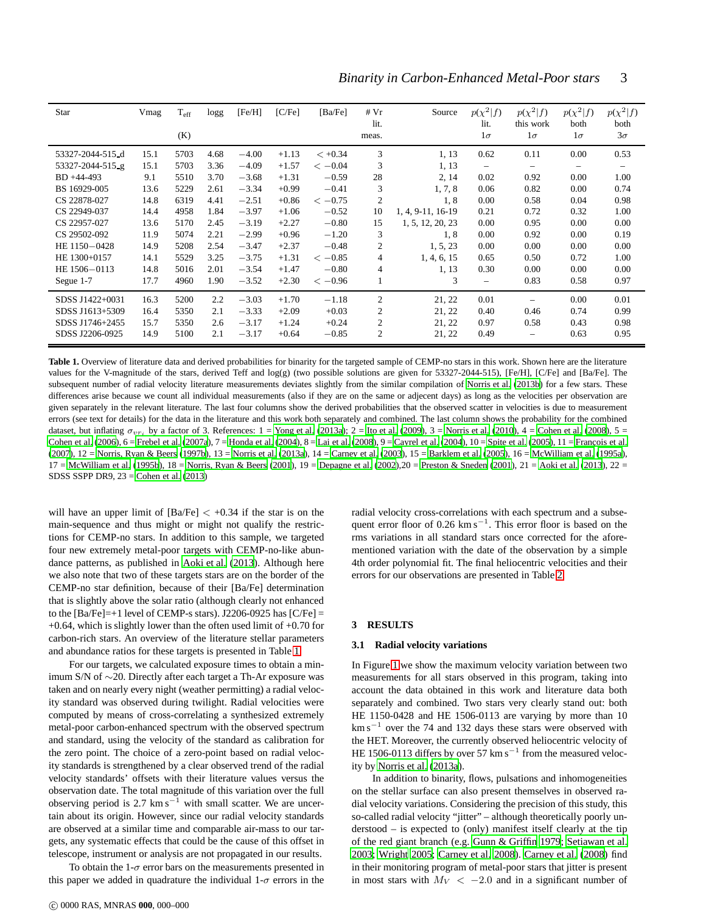| Star             | Vmag | $T_{\rm eff}$<br>(K) | logg | [Fe/H]  | [ <b>CF</b> <sub>e</sub> ] | [Ba/Fe]   | #Vr<br>lit.<br>meas. | Source            | $p(\chi^2 f)$<br>lit.<br>$1\sigma$ | $p(\chi^2 f)$<br>this work<br>$1\sigma$ | $p(\chi^2 f)$<br>both<br>$1\sigma$ | $p(\chi^2 f)$<br>both<br>$3\sigma$ |
|------------------|------|----------------------|------|---------|----------------------------|-----------|----------------------|-------------------|------------------------------------|-----------------------------------------|------------------------------------|------------------------------------|
| 53327-2044-515_d | 15.1 | 5703                 | 4.68 | $-4.00$ | $+1.13$                    | $< +0.34$ | 3                    | 1, 13             | 0.62                               | 0.11                                    | 0.00                               | 0.53                               |
| 53327-2044-515 g | 15.1 | 5703                 | 3.36 | $-4.09$ | $+1.57$                    | $<-0.04$  | 3                    | 1, 13             | $\qquad \qquad -$                  | -                                       | $\overline{\phantom{0}}$           | $\qquad \qquad -$                  |
| BD +44-493       | 9.1  | 5510                 | 3.70 | $-3.68$ | $+1.31$                    | $-0.59$   | 28                   | 2, 14             | 0.02                               | 0.92                                    | 0.00                               | 1.00                               |
| BS 16929-005     | 13.6 | 5229                 | 2.61 | $-3.34$ | $+0.99$                    | $-0.41$   | 3                    | 1, 7, 8           | 0.06                               | 0.82                                    | 0.00                               | 0.74                               |
| CS 22878-027     | 14.8 | 6319                 | 4.41 | $-2.51$ | $+0.86$                    | $<-0.75$  | $\overline{2}$       | 1,8               | 0.00                               | 0.58                                    | 0.04                               | 0.98                               |
| CS 22949-037     | 14.4 | 4958                 | 1.84 | $-3.97$ | $+1.06$                    | $-0.52$   | 10                   | 1, 4, 9-11, 16-19 | 0.21                               | 0.72                                    | 0.32                               | 1.00                               |
| CS 22957-027     | 13.6 | 5170                 | 2.45 | $-3.19$ | $+2.27$                    | $-0.80$   | 15                   | 1, 5, 12, 20, 23  | 0.00                               | 0.95                                    | 0.00                               | 0.00                               |
| CS 29502-092     | 11.9 | 5074                 | 2.21 | $-2.99$ | $+0.96$                    | $-1.20$   | 3                    | 1,8               | 0.00                               | 0.92                                    | 0.00                               | 0.19                               |
| HE 1150-0428     | 14.9 | 5208                 | 2.54 | $-3.47$ | $+2.37$                    | $-0.48$   | $\overline{2}$       | 1, 5, 23          | 0.00                               | 0.00                                    | 0.00                               | 0.00                               |
| HE 1300+0157     | 14.1 | 5529                 | 3.25 | $-3.75$ | $+1.31$                    | $<-0.85$  | $\overline{4}$       | 1, 4, 6, 15       | 0.65                               | 0.50                                    | 0.72                               | 1.00                               |
| HE 1506-0113     | 14.8 | 5016                 | 2.01 | $-3.54$ | $+1.47$                    | $-0.80$   | 4                    | 1, 13             | 0.30                               | 0.00                                    | 0.00                               | 0.00                               |
| Segue 1-7        | 17.7 | 4960                 | 1.90 | $-3.52$ | $+2.30$                    | $<-0.96$  |                      | 3                 |                                    | 0.83                                    | 0.58                               | 0.97                               |
| SDSS J1422+0031  | 16.3 | 5200                 | 2.2  | $-3.03$ | $+1.70$                    | $-1.18$   | $\overline{2}$       | 21, 22            | 0.01                               |                                         | 0.00                               | 0.01                               |
| SDSS J1613+5309  | 16.4 | 5350                 | 2.1  | $-3.33$ | $+2.09$                    | $+0.03$   | 2                    | 21, 22            | 0.40                               | 0.46                                    | 0.74                               | 0.99                               |
| SDSS J1746+2455  | 15.7 | 5350                 | 2.6  | $-3.17$ | $+1.24$                    | $+0.24$   | $\overline{2}$       | 21, 22            | 0.97                               | 0.58                                    | 0.43                               | 0.98                               |
| SDSS J2206-0925  | 14.9 | 5100                 | 2.1  | $-3.17$ | $+0.64$                    | $-0.85$   | 2                    | 21, 22            | 0.49                               |                                         | 0.63                               | 0.95                               |

<span id="page-2-1"></span>Table 1. Overview of literature data and derived probabilities for binarity for the targeted sample of CEMP-no stars in this work. Shown here are the literature values for the V-magnitude of the stars, derived Teff and log(g) (two possible solutions are given for 53327-2044-515), [Fe/H], [C/Fe] and [Ba/Fe]. The subsequent number of radial velocity literature measurements deviates slightly from the similar compilation of [Norris et al. \(2013b](#page-12-13)) for a few stars. These differences arise because we count all individual measurements (also if they are on the same or adjecent days) as long as the velocities per observation are given separately in the relevant literature. The last four columns show the derived probabilities that the observed scatter in velocities is due to measurement errors (see text for details) for the data in the literature and this work both separately and combined. The last column shows the probability for the combined dataset, but inflating  $\sigma_{v r_i}$  by a factor of 3. References:  $1 =$  [Yong et al. \(2013a](#page-12-0));  $2 =$  [Ito et al. \(2009\)](#page-11-25),  $3 =$  [Norris et al. \(2010\)](#page-12-22),  $4 =$  [Cohen et al. \(2008\)](#page-11-26),  $5 =$ [Cohen et al. \(2006\)](#page-11-23), 6 = [Frebel et al. \(2007a](#page-11-27)), 7 = [Honda et al.](#page-11-28) [\(2004](#page-11-28)), 8 = [Lai et al. \(2008\)](#page-12-23), 9 = [Cayrel et al. \(2004](#page-11-29)), 10 = [Spite](#page-12-24) et al. [\(2005](#page-12-24)), 11 = François et al. [\(2007\)](#page-11-30),  $12 =$  [Norris, Ryan & Beers](#page-12-25) [\(1997b](#page-12-25)),  $13 =$  [Norris et al.](#page-12-26) [\(2013a](#page-12-26)),  $14 =$  [Carney et al. \(2003\)](#page-11-31),  $15 =$  [Barklem et al. \(2005\)](#page-11-32),  $16 =$  [McWilliam et al. \(1995a](#page-12-27)),  $17 =$  [McWilliam et al. \(1995b](#page-12-28)),  $18 =$  [Norris, Ryan & Beers \(2001\)](#page-12-29),  $19 =$  [Depagne et al.](#page-11-33) [\(2002](#page-11-33)),  $20 =$  [Preston & Sneden \(2001\)](#page-12-30),  $21 =$  [Aoki et al.](#page-11-0) [\(2013](#page-11-0)),  $22 =$ SDSS SSPP DR9, 23 = [Cohen et al. \(2013](#page-11-1))

will have an upper limit of  $[Ba/Fe] < +0.34$  if the star is on the main-sequence and thus might or might not qualify the restrictions for CEMP-no stars. In addition to this sample, we targeted four new extremely metal-poor targets with CEMP-no-like abundance patterns, as published in [Aoki et al. \(2013](#page-11-0)). Although here we also note that two of these targets stars are on the border of the CEMP-no star definition, because of their [Ba/Fe] determination that is slightly above the solar ratio (although clearly not enhanced to the  $[Ba/Fe]=+1$  level of CEMP-s stars). J2206-0925 has  $[C/Fe]=$ +0.64, which is slightly lower than the often used limit of +0.70 for carbon-rich stars. An overview of the literature stellar parameters and abundance ratios for these targets is presented in Table [1.](#page-2-1)

For our targets, we calculated exposure times to obtain a minimum S/N of ∼20. Directly after each target a Th-Ar exposure was taken and on nearly every night (weather permitting) a radial velocity standard was observed during twilight. Radial velocities were computed by means of cross-correlating a synthesized extremely metal-poor carbon-enhanced spectrum with the observed spectrum and standard, using the velocity of the standard as calibration for the zero point. The choice of a zero-point based on radial velocity standards is strengthened by a clear observed trend of the radial velocity standards' offsets with their literature values versus the observation date. The total magnitude of this variation over the full observing period is  $2.7 \text{ km s}^{-1}$  with small scatter. We are uncertain about its origin. However, since our radial velocity standards are observed at a similar time and comparable air-mass to our targets, any systematic effects that could be the cause of this offset in telescope, instrument or analysis are not propagated in our results.

To obtain the  $1-\sigma$  error bars on the measurements presented in this paper we added in quadrature the individual  $1-\sigma$  errors in the radial velocity cross-correlations with each spectrum and a subsequent error floor of 0.26 km s<sup>-1</sup>. This error floor is based on the rms variations in all standard stars once corrected for the aforementioned variation with the date of the observation by a simple 4th order polynomial fit. The final heliocentric velocities and their errors for our observations are presented in Table [2.](#page-5-0)

#### <span id="page-2-0"></span>**3 RESULTS**

## **3.1 Radial velocity variations**

In Figure [1](#page-3-0) we show the maximum velocity variation between two measurements for all stars observed in this program, taking into account the data obtained in this work and literature data both separately and combined. Two stars very clearly stand out: both HE 1150-0428 and HE 1506-0113 are varying by more than 10  $km s<sup>-1</sup>$  over the 74 and 132 days these stars were observed with the HET. Moreover, the currently observed heliocentric velocity of HE 1506-0113 differs by over 57  $km s^{-1}$  from the measured velocity by [Norris et al. \(2013a\)](#page-12-26).

In addition to binarity, flows, pulsations and inhomogeneities on the stellar surface can also present themselves in observed radial velocity variations. Considering the precision of this study, this so-called radial velocity "jitter" – although theoretically poorly understood – is expected to (only) manifest itself clearly at the tip of the red giant branch (e.g. [Gunn & Griffin 1979](#page-11-34); [Setiawan et al.](#page-12-31) [2003](#page-12-31); [Wright 2005;](#page-12-32) [Carney et al. 2008\)](#page-11-35). [Carney et al. \(2008](#page-11-35)) find in their monitoring program of metal-poor stars that jitter is present in most stars with  $M_V < -2.0$  and in a significant number of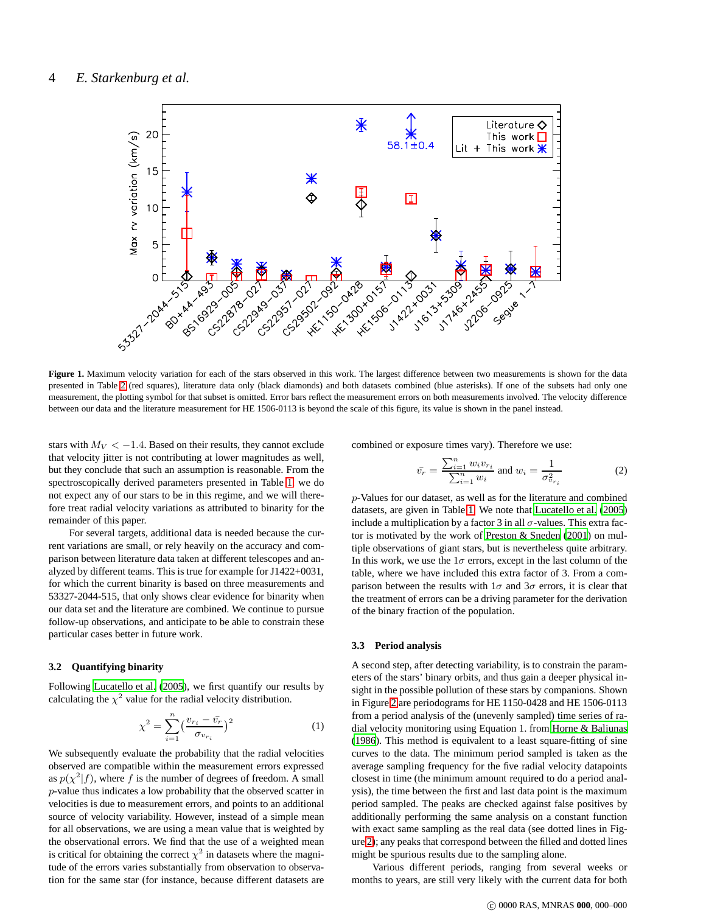

<span id="page-3-0"></span>Figure 1. Maximum velocity variation for each of the stars observed in this work. The largest difference between two measurements is shown for the data presented in Table [2](#page-5-0) (red squares), literature data only (black diamonds) and both datasets combined (blue asterisks). If one of the subsets had only one measurement, the plotting symbol for that subset is omitted. Error bars reflect the measurement errors on both measurements involved. The velocity difference between our data and the literature measurement for HE 1506-0113 is beyond the scale of this figure, its value is shown in the panel instead.

stars with  $M_V < -1.4$ . Based on their results, they cannot exclude that velocity jitter is not contributing at lower magnitudes as well, but they conclude that such an assumption is reasonable. From the spectroscopically derived parameters presented in Table [1,](#page-2-1) we do not expect any of our stars to be in this regime, and we will therefore treat radial velocity variations as attributed to binarity for the remainder of this paper.

For several targets, additional data is needed because the current variations are small, or rely heavily on the accuracy and comparison between literature data taken at different telescopes and analyzed by different teams. This is true for example for J1422+0031, for which the current binarity is based on three measurements and 53327-2044-515, that only shows clear evidence for binarity when our data set and the literature are combined. We continue to pursue follow-up observations, and anticipate to be able to constrain these particular cases better in future work.

## **3.2 Quantifying binarity**

Following [Lucatello et al. \(2005](#page-12-9)), we first quantify our results by calculating the  $\chi^2$  value for the radial velocity distribution.

$$
\chi^2 = \sum_{i=1}^n \left(\frac{v_{r_i} - \bar{v_r}}{\sigma_{v_{r_i}}}\right)^2
$$
 (1)

We subsequently evaluate the probability that the radial velocities observed are compatible within the measurement errors expressed as  $p(\chi^2|f)$ , where f is the number of degrees of freedom. A small p-value thus indicates a low probability that the observed scatter in velocities is due to measurement errors, and points to an additional source of velocity variability. However, instead of a simple mean for all observations, we are using a mean value that is weighted by the observational errors. We find that the use of a weighted mean is critical for obtaining the correct  $\chi^2$  in datasets where the magnitude of the errors varies substantially from observation to observation for the same star (for instance, because different datasets are combined or exposure times vary). Therefore we use:

$$
\bar{v_r} = \frac{\sum_{i=1}^n w_i v_{r_i}}{\sum_{i=1}^n w_i} \text{ and } w_i = \frac{1}{\sigma_{v_{r_i}}^2} \tag{2}
$$

p-Values for our dataset, as well as for the literature and combined datasets, are given in Table [1.](#page-2-1) We note that [Lucatello et al. \(2005](#page-12-9)) include a multiplication by a factor 3 in all  $\sigma$ -values. This extra factor is motivated by the work of [Preston & Sneden \(2001\)](#page-12-30) on multiple observations of giant stars, but is nevertheless quite arbitrary. In this work, we use the  $1\sigma$  errors, except in the last column of the table, where we have included this extra factor of 3. From a comparison between the results with  $1\sigma$  and  $3\sigma$  errors, it is clear that the treatment of errors can be a driving parameter for the derivation of the binary fraction of the population.

## **3.3 Period analysis**

A second step, after detecting variability, is to constrain the parameters of the stars' binary orbits, and thus gain a deeper physical insight in the possible pollution of these stars by companions. Shown in Figure [2](#page-4-1) are periodograms for HE 1150-0428 and HE 1506-0113 from a period analysis of the (unevenly sampled) time series of radial velocity monitoring using Equation 1. from [Horne & Baliunas](#page-11-36) [\(1986](#page-11-36)). This method is equivalent to a least square-fitting of sine curves to the data. The minimum period sampled is taken as the average sampling frequency for the five radial velocity datapoints closest in time (the minimum amount required to do a period analysis), the time between the first and last data point is the maximum period sampled. The peaks are checked against false positives by additionally performing the same analysis on a constant function with exact same sampling as the real data (see dotted lines in Figure [2\)](#page-4-1); any peaks that correspond between the filled and dotted lines might be spurious results due to the sampling alone.

Various different periods, ranging from several weeks or months to years, are still very likely with the current data for both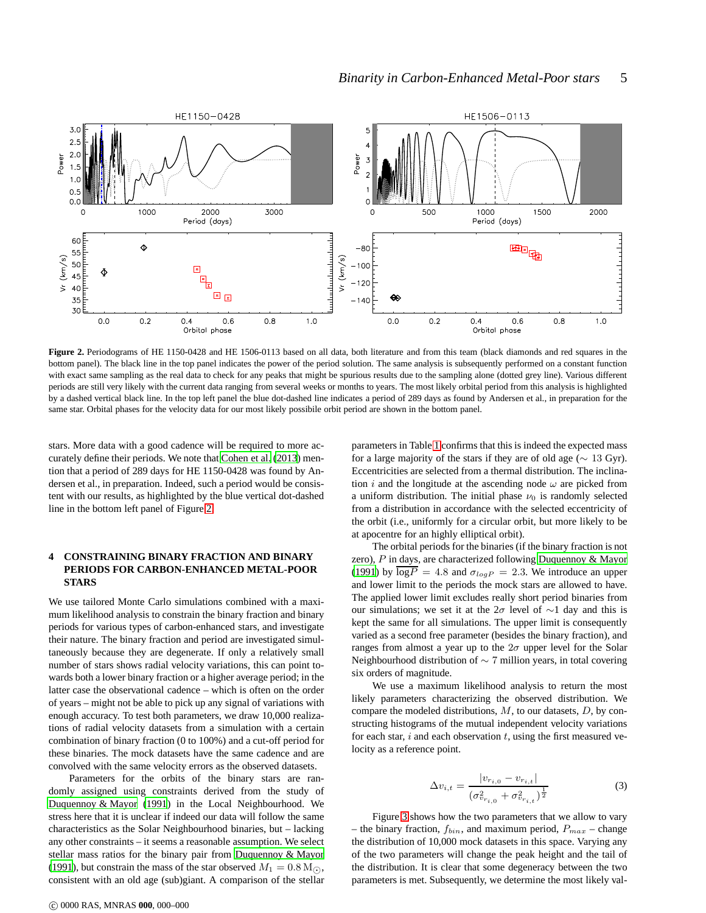

<span id="page-4-1"></span>**Figure 2.** Periodograms of HE 1150-0428 and HE 1506-0113 based on all data, both literature and from this team (black diamonds and red squares in the bottom panel). The black line in the top panel indicates the power of the period solution. The same analysis is subsequently performed on a constant function with exact same sampling as the real data to check for any peaks that might be spurious results due to the sampling alone (dotted grey line). Various different periods are still very likely with the current data ranging from several weeks or months to years. The most likely orbital period from this analysis is highlighted by a dashed vertical black line. In the top left panel the blue dot-dashed line indicates a period of 289 days as found by Andersen et al., in preparation for the same star. Orbital phases for the velocity data for our most likely possibile orbit period are shown in the bottom panel.

stars. More data with a good cadence will be required to more accurately define their periods. We note that [Cohen et al. \(2013\)](#page-11-1) mention that a period of 289 days for HE 1150-0428 was found by Andersen et al., in preparation. Indeed, such a period would be consistent with our results, as highlighted by the blue vertical dot-dashed line in the bottom left panel of Figure [2.](#page-4-1)

# <span id="page-4-0"></span>**4 CONSTRAINING BINARY FRACTION AND BINARY PERIODS FOR CARBON-ENHANCED METAL-POOR STARS**

We use tailored Monte Carlo simulations combined with a maximum likelihood analysis to constrain the binary fraction and binary periods for various types of carbon-enhanced stars, and investigate their nature. The binary fraction and period are investigated simultaneously because they are degenerate. If only a relatively small number of stars shows radial velocity variations, this can point towards both a lower binary fraction or a higher average period; in the latter case the observational cadence – which is often on the order of years – might not be able to pick up any signal of variations with enough accuracy. To test both parameters, we draw 10,000 realizations of radial velocity datasets from a simulation with a certain combination of binary fraction (0 to 100%) and a cut-off period for these binaries. The mock datasets have the same cadence and are convolved with the same velocity errors as the observed datasets.

Parameters for the orbits of the binary stars are randomly assigned using constraints derived from the study of [Duquennoy & Mayor \(1991](#page-11-37)) in the Local Neighbourhood. We stress here that it is unclear if indeed our data will follow the same characteristics as the Solar Neighbourhood binaries, but – lacking any other constraints – it seems a reasonable assumption. We select stellar mass ratios for the binary pair from [Duquennoy & Mayor](#page-11-37) [\(1991](#page-11-37)), but constrain the mass of the star observed  $M_1 = 0.8$  M<sub> $\odot$ </sub>, consistent with an old age (sub)giant. A comparison of the stellar parameters in Table [1](#page-2-1) confirms that this is indeed the expected mass for a large majority of the stars if they are of old age ( $\sim 13$  Gyr). Eccentricities are selected from a thermal distribution. The inclination i and the longitude at the ascending node  $\omega$  are picked from a uniform distribution. The initial phase  $\nu_0$  is randomly selected from a distribution in accordance with the selected eccentricity of the orbit (i.e., uniformly for a circular orbit, but more likely to be at apocentre for an highly elliptical orbit).

The orbital periods for the binaries (if the binary fraction is not zero), P in days, are characterized following [Duquennoy & Mayor](#page-11-37) [\(1991](#page-11-37)) by  $\overline{\log P} = 4.8$  and  $\sigma_{\log P} = 2.3$ . We introduce an upper and lower limit to the periods the mock stars are allowed to have. The applied lower limit excludes really short period binaries from our simulations; we set it at the  $2\sigma$  level of ∼1 day and this is kept the same for all simulations. The upper limit is consequently varied as a second free parameter (besides the binary fraction), and ranges from almost a year up to the  $2\sigma$  upper level for the Solar Neighbourhood distribution of ∼ 7 million years, in total covering six orders of magnitude.

We use a maximum likelihood analysis to return the most likely parameters characterizing the observed distribution. We compare the modeled distributions,  $M$ , to our datasets,  $D$ , by constructing histograms of the mutual independent velocity variations for each star,  $i$  and each observation  $t$ , using the first measured velocity as a reference point.

$$
\Delta v_{i,t} = \frac{|v_{r_{i,0}} - v_{r_{i,t}}|}{(\sigma_{v_{r_{i,0}}}^2 + \sigma_{v_{r_{i,t}}}^2)^{\frac{1}{2}}}
$$
(3)

Figure [3](#page-5-1) shows how the two parameters that we allow to vary – the binary fraction,  $f_{bin}$ , and maximum period,  $P_{max}$  – change the distribution of 10,000 mock datasets in this space. Varying any of the two parameters will change the peak height and the tail of the distribution. It is clear that some degeneracy between the two parameters is met. Subsequently, we determine the most likely val-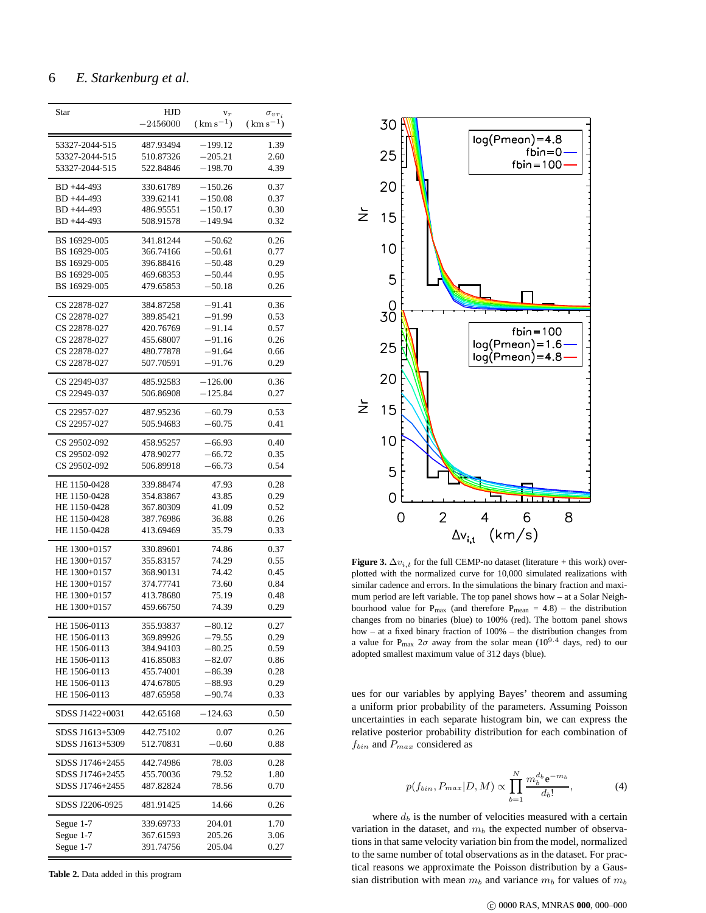# 6 *E. Starkenburg et al.*

| Star                             | HJD<br>$-2456000$      | $V_{T}$<br>$(km s^{-1})$ | $\sigma_{vr_i}$<br>$(km s^{-1})$ |
|----------------------------------|------------------------|--------------------------|----------------------------------|
|                                  |                        |                          |                                  |
| 53327-2044-515<br>53327-2044-515 | 487.93494<br>510.87326 | $-199.12$<br>$-205.21$   | 1.39<br>2.60                     |
| 53327-2044-515                   | 522.84846              | $-198.70$                | 4.39                             |
|                                  |                        |                          |                                  |
| BD +44-493                       | 330.61789              | $-150.26$                | 0.37                             |
| BD +44-493<br>BD +44-493         | 339.62141<br>486.95551 | $-150.08$<br>-150.17     | 0.37<br>0.30                     |
| BD +44-493                       | 508.91578              | $-149.94$                | 0.32                             |
|                                  |                        | $-50.62$                 |                                  |
| BS 16929-005<br>BS 16929-005     | 341.81244<br>366.74166 | $-50.61$                 | 0.26<br>0.77                     |
| BS 16929-005                     | 396.88416              | $-50.48$                 | 0.29                             |
| BS 16929-005                     | 469.68353              | $-50.44$                 | 0.95                             |
| BS 16929-005                     | 479.65853              | $-50.18$                 | 0.26                             |
| CS 22878-027                     | 384.87258              | $-91.41$                 | 0.36                             |
| CS 22878-027                     | 389.85421              | $-91.99$                 | 0.53                             |
| CS 22878-027                     | 420.76769              | $-91.14$                 | 0.57                             |
| CS 22878-027                     | 455.68007              | $-91.16$                 | 0.26                             |
| CS 22878-027                     | 480.77878              | $-91.64$                 | 0.66                             |
| CS 22878-027                     | 507.70591              | $-91.76$                 | 0.29                             |
| CS 22949-037                     | 485.92583              | $-126.00$                | 0.36                             |
| CS 22949-037                     | 506.86908              | $-125.84$                | 0.27                             |
| CS 22957-027                     | 487.95236              | $-60.79$                 | 0.53                             |
| CS 22957-027                     | 505.94683              | $-60.75$                 | 0.41                             |
| CS 29502-092                     | 458.95257              | $-66.93$                 | 0.40                             |
| CS 29502-092                     | 478.90277              | $-66.72$                 | 0.35                             |
| CS 29502-092                     | 506.89918              | $-66.73$                 | 0.54                             |
| HE 1150-0428                     | 339.88474              | 47.93                    | 0.28                             |
| HE 1150-0428                     | 354.83867              | 43.85                    | 0.29                             |
| HE 1150-0428                     | 367.80309              | 41.09                    | 0.52                             |
| HE 1150-0428<br>HE 1150-0428     | 387.76986<br>413.69469 | 36.88<br>35.79           | 0.26<br>0.33                     |
|                                  |                        |                          |                                  |
| HE 1300+0157                     | 330.89601              | 74.86                    | 0.37                             |
| HE 1300+0157                     | 355.83157              | 74.29                    | 0.55                             |
| HE 1300+0157<br>HE 1300+0157     | 368.90131<br>374.77741 | 74.42<br>73.60           | 0.45<br>0.84                     |
| HE 1300+0157                     | 413.78680              | 75.19                    | 0.48                             |
| HE 1300+0157                     | 459.66750              | 74.39                    | 0.29                             |
| HE 1506-0113                     | 355.93837              | $-80.12$                 |                                  |
| HE 1506-0113                     | 369.89926              | –79.55                   | 0.27<br>0.29                     |
| HE 1506-0113                     | 384.94103              | $-80.25$                 | 0.59                             |
| HE 1506-0113                     | 416.85083              | $-82.07$                 | 0.86                             |
| HE 1506-0113                     | 455.74001              | $-86.39$                 | 0.28                             |
| HE 1506-0113                     | 474.67805              | $-88.93$                 | 0.29                             |
| HE 1506-0113                     | 487.65958              | $-90.74$                 | 0.33                             |
| SDSS J1422+0031                  | 442.65168              | $-124.63$                | 0.50                             |
| SDSS J1613+5309                  | 442.75102              | 0.07                     | 0.26                             |
| SDSS J1613+5309                  | 512.70831              | $-0.60$                  | 0.88                             |
| SDSS J1746+2455                  | 442.74986              | 78.03                    | 0.28                             |
| SDSS J1746+2455                  | 455.70036              | 79.52                    | 1.80                             |
| SDSS J1746+2455                  | 487.82824              | 78.56                    | 0.70                             |
| SDSS J2206-0925                  | 481.91425              | 14.66                    | 0.26                             |
| Segue 1-7                        | 339.69733              | 204.01                   | 1.70                             |
| Segue 1-7                        | 367.61593              | 205.26                   | 3.06                             |
| Segue 1-7                        | 391.74756              | 205.04                   | 0.27                             |

<span id="page-5-0"></span>**Table 2.** Data added in this program



<span id="page-5-1"></span>**Figure 3.**  $\Delta v_{i,t}$  for the full CEMP-no dataset (literature + this work) overplotted with the normalized curve for 10,000 simulated realizations with similar cadence and errors. In the simulations the binary fraction and maximum period are left variable. The top panel shows how – at a Solar Neighbourhood value for  $P_{max}$  (and therefore  $P_{mean} = 4.8$ ) – the distribution changes from no binaries (blue) to 100% (red). The bottom panel shows how – at a fixed binary fraction of 100% – the distribution changes from a value for P<sub>max</sub>  $2\sigma$  away from the solar mean (10<sup>9.4</sup> days, red) to our adopted smallest maximum value of 312 days (blue).

ues for our variables by applying Bayes' theorem and assuming a uniform prior probability of the parameters. Assuming Poisson uncertainties in each separate histogram bin, we can express the relative posterior probability distribution for each combination of  $f_{bin}$  and  $P_{max}$  considered as

$$
p(f_{bin}, P_{max}|D, M) \propto \prod_{b=1}^{N} \frac{m_b^{d_b} e^{-m_b}}{d_b!},
$$
 (4)

where  $d_b$  is the number of velocities measured with a certain variation in the dataset, and  $m_b$  the expected number of observations in that same velocity variation bin from the model, normalized to the same number of total observations as in the dataset. For practical reasons we approximate the Poisson distribution by a Gaussian distribution with mean  $m_b$  and variance  $m_b$  for values of  $m_b$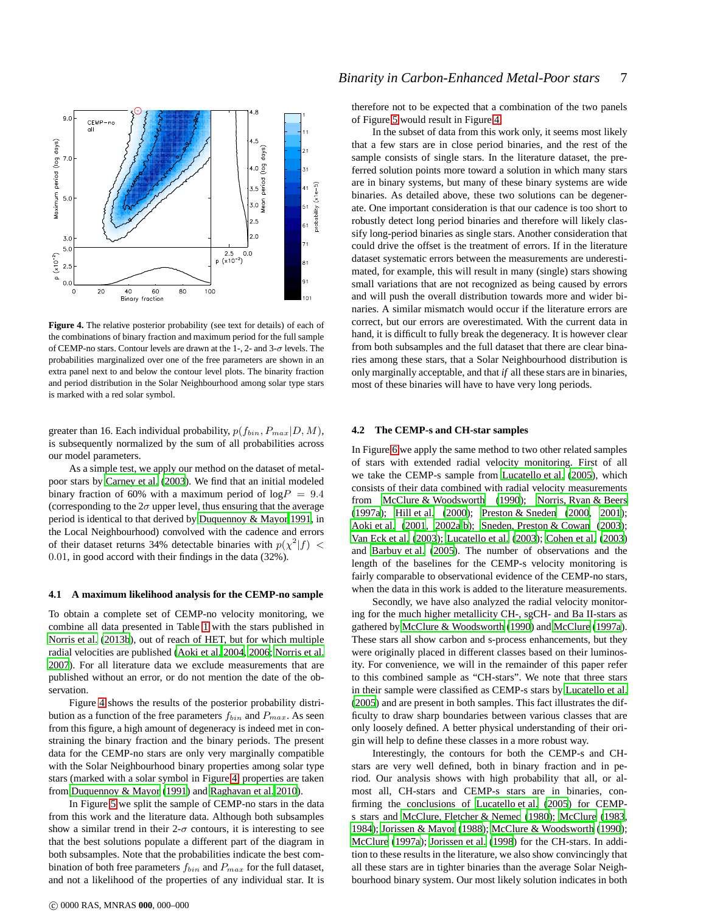

<span id="page-6-0"></span>**Figure 4.** The relative posterior probability (see text for details) of each of the combinations of binary fraction and maximum period for the full sample of CEMP-no stars. Contour levels are drawn at the 1-, 2- and 3- $\sigma$  levels. The probabilities marginalized over one of the free parameters are shown in an extra panel next to and below the contour level plots. The binarity fraction and period distribution in the Solar Neighbourhood among solar type stars is marked with a red solar symbol.

greater than 16. Each individual probability,  $p(f_{bin}, P_{max}|D, M)$ , is subsequently normalized by the sum of all probabilities across our model parameters.

As a simple test, we apply our method on the dataset of metalpoor stars by [Carney et al. \(2003\)](#page-11-31). We find that an initial modeled binary fraction of 60% with a maximum period of  $log P = 9.4$ (corresponding to the  $2\sigma$  upper level, thus ensuring that the average period is identical to that derived by [Duquennoy & Mayor 1991,](#page-11-37) in the Local Neighbourhood) convolved with the cadence and errors of their dataset returns 34% detectable binaries with  $p(\chi^2|f)$  < 0.01, in good accord with their findings in the data (32%).

#### **4.1 A maximum likelihood analysis for the CEMP-no sample**

To obtain a complete set of CEMP-no velocity monitoring, we combine all data presented in Table [1](#page-2-1) with the stars published in [Norris et al. \(2013b\)](#page-12-13), out of reach of HET, but for which multiple radial velocities are published [\(Aoki et al. 2004,](#page-11-38) [2006](#page-11-16); [Norris et al.](#page-12-14) [2007](#page-12-14)). For all literature data we exclude measurements that are published without an error, or do not mention the date of the observation.

Figure [4](#page-6-0) shows the results of the posterior probability distribution as a function of the free parameters  $f_{bin}$  and  $P_{max}$ . As seen from this figure, a high amount of degeneracy is indeed met in constraining the binary fraction and the binary periods. The present data for the CEMP-no stars are only very marginally compatible with the Solar Neighbourhood binary properties among solar type stars (marked with a solar symbol in Figure [4,](#page-6-0) properties are taken from [Duquennoy & Mayor \(1991](#page-11-37)) and [Raghavan et al. 2010\)](#page-12-33).

In Figure [5](#page-7-0) we split the sample of CEMP-no stars in the data from this work and the literature data. Although both subsamples show a similar trend in their  $2-\sigma$  contours, it is interesting to see that the best solutions populate a different part of the diagram in both subsamples. Note that the probabilities indicate the best combination of both free parameters  $f_{bin}$  and  $P_{max}$  for the full dataset, and not a likelihood of the properties of any individual star. It is therefore not to be expected that a combination of the two panels of Figure [5](#page-7-0) would result in Figure [4.](#page-6-0)

In the subset of data from this work only, it seems most likely that a few stars are in close period binaries, and the rest of the sample consists of single stars. In the literature dataset, the preferred solution points more toward a solution in which many stars are in binary systems, but many of these binary systems are wide binaries. As detailed above, these two solutions can be degenerate. One important consideration is that our cadence is too short to robustly detect long period binaries and therefore will likely classify long-period binaries as single stars. Another consideration that could drive the offset is the treatment of errors. If in the literature dataset systematic errors between the measurements are underestimated, for example, this will result in many (single) stars showing small variations that are not recognized as being caused by errors and will push the overall distribution towards more and wider binaries. A similar mismatch would occur if the literature errors are correct, but our errors are overestimated. With the current data in hand, it is difficult to fully break the degeneracy. It is however clear from both subsamples and the full dataset that there are clear binaries among these stars, that a Solar Neighbourhood distribution is only marginally acceptable, and that *if* all these stars are in binaries, most of these binaries will have to have very long periods.

#### **4.2 The CEMP-s and CH-star samples**

In Figure [6](#page-7-1) we apply the same method to two other related samples of stars with extended radial velocity monitoring. First of all we take the CEMP-s sample from [Lucatello et al.](#page-12-9) [\(2005](#page-12-9)), which consists of their data combined with radial velocity measurements from [McClure & Woodsworth \(1990](#page-12-34)); [Norris, Ryan & Beers](#page-12-5) [\(1997a](#page-12-5)); [Hill et al. \(2000](#page-11-39)); [Preston & Sneden \(2000](#page-12-35), [2001\)](#page-12-30); [Aoki et al.](#page-11-40) [\(2001](#page-11-40), [2002a](#page-11-41)[,b](#page-11-42)); [Sneden, Preston & Cowan \(2003\)](#page-12-36); [Van Eck et al. \(2003](#page-12-37)); [Lucatello et al. \(2003](#page-12-38)); [Cohen et al. \(2003](#page-11-43)) and [Barbuy et al. \(2005\)](#page-11-44). The number of observations and the length of the baselines for the CEMP-s velocity monitoring is fairly comparable to observational evidence of the CEMP-no stars, when the data in this work is added to the literature measurements.

Secondly, we have also analyzed the radial velocity monitoring for the much higher metallicity CH-, sgCH- and Ba II-stars as gathered by [McClure & Woodsworth](#page-12-34) [\(1990](#page-12-34)) and [McClure \(1997a](#page-12-39)). These stars all show carbon and s-process enhancements, but they were originally placed in different classes based on their luminosity. For convenience, we will in the remainder of this paper refer to this combined sample as "CH-stars". We note that three stars in their sample were classified as CEMP-s stars by [Lucatello et al.](#page-12-9) [\(2005](#page-12-9)) and are present in both samples. This fact illustrates the difficulty to draw sharp boundaries between various classes that are only loosely defined. A better physical understanding of their origin will help to define these classes in a more robust way.

Interestingly, the contours for both the CEMP-s and CHstars are very well defined, both in binary fraction and in period. Our analysis shows with high probability that all, or almost all, CH-stars and CEMP-s stars are in binaries, confirming the conclusions of [Lucatello et al. \(2005\)](#page-12-9) for CEMPs stars and [McClure, Fletcher & Nemec \(1980](#page-12-40)); [McClure \(1983](#page-12-41), [1984](#page-12-42)); [Jorissen & Mayor](#page-11-45) [\(1988](#page-11-45)); [McClure & Woodsworth \(1990\)](#page-12-34); [McClure \(1997a\)](#page-12-39); [Jorissen et al.](#page-11-46) [\(1998](#page-11-46)) for the CH-stars. In addition to these results in the literature, we also show convincingly that all these stars are in tighter binaries than the average Solar Neighbourhood binary system. Our most likely solution indicates in both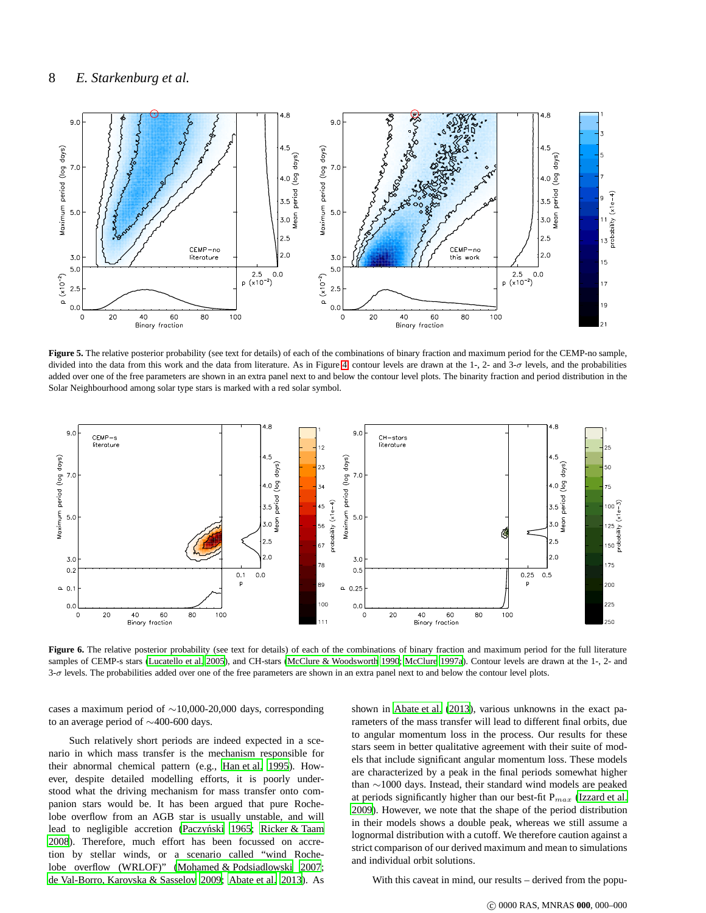

<span id="page-7-0"></span>**Figure 5.** The relative posterior probability (see text for details) of each of the combinations of binary fraction and maximum period for the CEMP-no sample, divided into the data from this work and the data from literature. As in Figure [4,](#page-6-0) contour levels are drawn at the 1-, 2- and  $3-\sigma$  levels, and the probabilities added over one of the free parameters are shown in an extra panel next to and below the contour level plots. The binarity fraction and period distribution in the Solar Neighbourhood among solar type stars is marked with a red solar symbol.



<span id="page-7-1"></span>Figure 6. The relative posterior probability (see text for details) of each of the combinations of binary fraction and maximum period for the full literature samples of CEMP-s stars [\(Lucatello et al. 2005\)](#page-12-9), and CH-stars [\(McClure & Woodsworth 1990;](#page-12-34) [McClure 1997a](#page-12-39)). Contour levels are drawn at the 1-, 2- and 3-σ levels. The probabilities added over one of the free parameters are shown in an extra panel next to and below the contour level plots.

cases a maximum period of ∼10,000-20,000 days, corresponding to an average period of ∼400-600 days.

Such relatively short periods are indeed expected in a scenario in which mass transfer is the mechanism responsible for their abnormal chemical pattern (e.g., [Han et al. 1995\)](#page-11-47). However, despite detailed modelling efforts, it is poorly understood what the driving mechanism for mass transfer onto companion stars would be. It has been argued that pure Rochelobe overflow from an AGB star is usually unstable, and will lead to negligible accretion (Paczyński 1965; [Ricker & Taam](#page-12-44) [2008](#page-12-44)). Therefore, much effort has been focussed on accretion by stellar winds, or a scenario called "wind Rochelobe overflow (WRLOF)" [\(Mohamed & Podsiadlowski 2007;](#page-12-45) [de Val-Borro, Karovska & Sasselov 2009](#page-11-48); [Abate et al. 2013\)](#page-11-49). As shown in [Abate et al.](#page-11-49) [\(2013](#page-11-49)), various unknowns in the exact parameters of the mass transfer will lead to different final orbits, due to angular momentum loss in the process. Our results for these stars seem in better qualitative agreement with their suite of models that include significant angular momentum loss. These models are characterized by a peak in the final periods somewhat higher than ∼1000 days. Instead, their standard wind models are peaked at periods significantly higher than our best-fit  $P_{max}$  [\(Izzard et al.](#page-11-50) [2009](#page-11-50)). However, we note that the shape of the period distribution in their models shows a double peak, whereas we still assume a lognormal distribution with a cutoff. We therefore caution against a strict comparison of our derived maximum and mean to simulations and individual orbit solutions.

With this caveat in mind, our results – derived from the popu-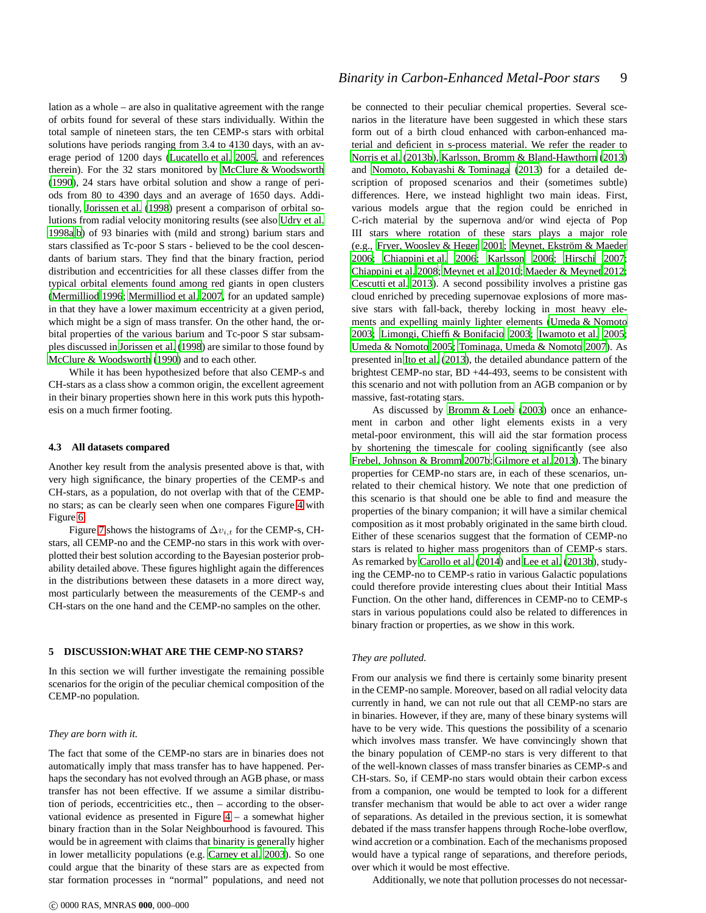lation as a whole – are also in qualitative agreement with the range of orbits found for several of these stars individually. Within the total sample of nineteen stars, the ten CEMP-s stars with orbital solutions have periods ranging from 3.4 to 4130 days, with an average period of 1200 days [\(Lucatello et al. 2005](#page-12-9), and references therein). For the 32 stars monitored by [McClure & Woodsworth](#page-12-34) [\(1990](#page-12-34)), 24 stars have orbital solution and show a range of periods from 80 to 4390 days and an average of 1650 days. Additionally, [Jorissen et al. \(1998\)](#page-11-46) present a comparison of orbital solutions from radial velocity monitoring results (see also [Udry et al.](#page-12-46) [1998a](#page-12-46)[,b\)](#page-12-47) of 93 binaries with (mild and strong) barium stars and stars classified as Tc-poor S stars - believed to be the cool descendants of barium stars. They find that the binary fraction, period distribution and eccentricities for all these classes differ from the typical orbital elements found among red giants in open clusters [\(Mermilliod 1996](#page-12-48); [Mermilliod et al. 2007,](#page-12-49) for an updated sample) in that they have a lower maximum eccentricity at a given period, which might be a sign of mass transfer. On the other hand, the orbital properties of the various barium and Tc-poor S star subsamples discussed in [Jorissen et al. \(1998](#page-11-46)) are similar to those found by [McClure & Woodsworth \(1990](#page-12-34)) and to each other.

While it has been hypothesized before that also CEMP-s and CH-stars as a class show a common origin, the excellent agreement in their binary properties shown here in this work puts this hypothesis on a much firmer footing.

#### **4.3 All datasets compared**

Another key result from the analysis presented above is that, with very high significance, the binary properties of the CEMP-s and CH-stars, as a population, do not overlap with that of the CEMPno stars; as can be clearly seen when one compares Figure [4](#page-6-0) with Figure [6.](#page-7-1)

Figure [7](#page-9-0) shows the histograms of  $\Delta v_{i,t}$  for the CEMP-s, CHstars, all CEMP-no and the CEMP-no stars in this work with overplotted their best solution according to the Bayesian posterior probability detailed above. These figures highlight again the differences in the distributions between these datasets in a more direct way, most particularly between the measurements of the CEMP-s and CH-stars on the one hand and the CEMP-no samples on the other.

## <span id="page-8-0"></span>**5 DISCUSSION:WHAT ARE THE CEMP-NO STARS?**

In this section we will further investigate the remaining possible scenarios for the origin of the peculiar chemical composition of the CEMP-no population.

#### *They are born with it.*

The fact that some of the CEMP-no stars are in binaries does not automatically imply that mass transfer has to have happened. Perhaps the secondary has not evolved through an AGB phase, or mass transfer has not been effective. If we assume a similar distribution of periods, eccentricities etc., then – according to the observational evidence as presented in Figure [4](#page-6-0) – a somewhat higher binary fraction than in the Solar Neighbourhood is favoured. This would be in agreement with claims that binarity is generally higher in lower metallicity populations (e.g. [Carney et al. 2003](#page-11-31)). So one could argue that the binarity of these stars are as expected from star formation processes in "normal" populations, and need not be connected to their peculiar chemical properties. Several scenarios in the literature have been suggested in which these stars form out of a birth cloud enhanced with carbon-enhanced material and deficient in s-process material. We refer the reader to [Norris et al. \(2013b](#page-12-13)), [Karlsson, Bromm & Bland-Hawthorn \(2013](#page-11-51)) and [Nomoto, Kobayashi & Tominaga \(2013\)](#page-12-50) for a detailed description of proposed scenarios and their (sometimes subtle) differences. Here, we instead highlight two main ideas. First, various models argue that the region could be enriched in C-rich material by the supernova and/or wind ejecta of Pop III stars where rotation of these stars plays a major role (e.g., [Fryer, Woosley & Heger 2001;](#page-11-52) Meynet, Ekström & Maeder [2006](#page-12-51); [Chiappini et al. 2006](#page-11-53); [Karlsson 2006](#page-11-54); [Hirschi 2007;](#page-11-55) [Chiappini et al. 2008](#page-11-56); [Meynet et al. 2010](#page-12-52); [Maeder & Meynet 2012;](#page-12-53) [Cescutti et al. 2013](#page-11-57)). A second possibility involves a pristine gas cloud enriched by preceding supernovae explosions of more massive stars with fall-back, thereby locking in most heavy elements and expelling mainly lighter elements [\(Umeda & Nomoto](#page-12-54) [2003](#page-12-54); [Limongi, Chieffi & Bonifacio 2003](#page-12-55); [Iwamoto et al. 2005;](#page-11-58) [Umeda & Nomoto 2005;](#page-12-56) [Tominaga, Umeda & Nomoto 2007](#page-12-57)). As presented in [Ito et al. \(2013](#page-11-21)), the detailed abundance pattern of the brightest CEMP-no star, BD +44-493, seems to be consistent with this scenario and not with pollution from an AGB companion or by massive, fast-rotating stars.

As discussed by [Bromm & Loeb \(2003](#page-11-12)) once an enhancement in carbon and other light elements exists in a very metal-poor environment, this will aid the star formation process by shortening the timescale for cooling significantly (see also [Frebel, Johnson & Bromm 2007b](#page-11-59); [Gilmore et al. 2013](#page-11-13)). The binary properties for CEMP-no stars are, in each of these scenarios, unrelated to their chemical history. We note that one prediction of this scenario is that should one be able to find and measure the properties of the binary companion; it will have a similar chemical composition as it most probably originated in the same birth cloud. Either of these scenarios suggest that the formation of CEMP-no stars is related to higher mass progenitors than of CEMP-s stars. As remarked by [Carollo et al. \(2014\)](#page-11-6) and [Lee et al. \(2013b](#page-12-58)), studying the CEMP-no to CEMP-s ratio in various Galactic populations could therefore provide interesting clues about their Intitial Mass Function. On the other hand, differences in CEMP-no to CEMP-s stars in various populations could also be related to differences in binary fraction or properties, as we show in this work.

#### *They are polluted.*

From our analysis we find there is certainly some binarity present in the CEMP-no sample. Moreover, based on all radial velocity data currently in hand, we can not rule out that all CEMP-no stars are in binaries. However, if they are, many of these binary systems will have to be very wide. This questions the possibility of a scenario which involves mass transfer. We have convincingly shown that the binary population of CEMP-no stars is very different to that of the well-known classes of mass transfer binaries as CEMP-s and CH-stars. So, if CEMP-no stars would obtain their carbon excess from a companion, one would be tempted to look for a different transfer mechanism that would be able to act over a wider range of separations. As detailed in the previous section, it is somewhat debated if the mass transfer happens through Roche-lobe overflow, wind accretion or a combination. Each of the mechanisms proposed would have a typical range of separations, and therefore periods, over which it would be most effective.

Additionally, we note that pollution processes do not necessar-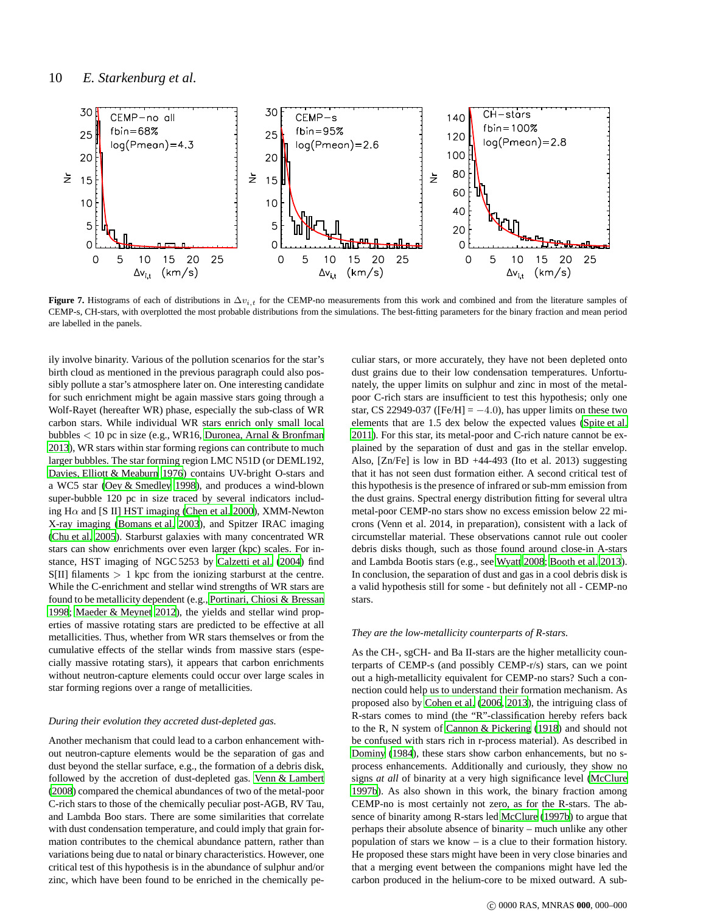

<span id="page-9-0"></span>**Figure 7.** Histograms of each of distributions in  $\Delta v_{i,t}$  for the CEMP-no measurements from this work and combined and from the literature samples of CEMP-s, CH-stars, with overplotted the most probable distributions from the simulations. The best-fitting parameters for the binary fraction and mean period are labelled in the panels.

ily involve binarity. Various of the pollution scenarios for the star's birth cloud as mentioned in the previous paragraph could also possibly pollute a star's atmosphere later on. One interesting candidate for such enrichment might be again massive stars going through a Wolf-Rayet (hereafter WR) phase, especially the sub-class of WR carbon stars. While individual WR stars enrich only small local bubbles < 10 pc in size (e.g., WR16, [Duronea, Arnal & Bronfman](#page-11-60) [2013\)](#page-11-60), WR stars within star forming regions can contribute to much larger bubbles. The star forming region LMC N51D (or DEML192, [Davies, Elliott & Meaburn 1976\)](#page-11-61) contains UV-bright O-stars and a WC5 star [\(Oey & Smedley 1998](#page-12-59)), and produces a wind-blown super-bubble 120 pc in size traced by several indicators including H $\alpha$  and [S II] HST imaging [\(Chen et al. 2000](#page-11-62)), XMM-Newton X-ray imaging [\(Bomans et al. 2003](#page-11-63)), and Spitzer IRAC imaging [\(Chu et al. 2005](#page-11-64)). Starburst galaxies with many concentrated WR stars can show enrichments over even larger (kpc) scales. For instance, HST imaging of NGC 5253 by [Calzetti et al. \(2004\)](#page-11-65) find S[II] filaments > 1 kpc from the ionizing starburst at the centre. While the C-enrichment and stellar wind strengths of WR stars are found to be metallicity dependent (e.g., [Portinari, Chiosi](#page-12-60) & Bressan [1998;](#page-12-60) [Maeder & Meynet 2012\)](#page-12-53), the yields and stellar wind properties of massive rotating stars are predicted to be effective at all metallicities. Thus, whether from WR stars themselves or from the cumulative effects of the stellar winds from massive stars (especially massive rotating stars), it appears that carbon enrichments without neutron-capture elements could occur over large scales in star forming regions over a range of metallicities.

#### *During their evolution they accreted dust-depleted gas.*

Another mechanism that could lead to a carbon enhancement without neutron-capture elements would be the separation of gas and dust beyond the stellar surface, e.g., the formation of a debris disk, followed by the accretion of dust-depleted gas. [Venn & Lambert](#page-12-61) [\(2008\)](#page-12-61) compared the chemical abundances of two of the metal-poor C-rich stars to those of the chemically peculiar post-AGB, RV Tau, and Lambda Boo stars. There are some similarities that correlate with dust condensation temperature, and could imply that grain formation contributes to the chemical abundance pattern, rather than variations being due to natal or binary characteristics. However, one critical test of this hypothesis is in the abundance of sulphur and/or zinc, which have been found to be enriched in the chemically pe-

culiar stars, or more accurately, they have not been depleted onto dust grains due to their low condensation temperatures. Unfortunately, the upper limits on sulphur and zinc in most of the metalpoor C-rich stars are insufficient to test this hypothesis; only one star, CS 22949-037 ([Fe/H] =  $-4.0$ ), has upper limits on these two elements that are 1.5 dex below the expected values [\(Spite et](#page-12-62) al. [2011](#page-12-62)). For this star, its metal-poor and C-rich nature cannot be explained by the separation of dust and gas in the stellar envelop. Also, [Zn/Fe] is low in BD +44-493 (Ito et al. 2013) suggesting that it has not seen dust formation either. A second critical test of this hypothesis is the presence of infrared or sub-mm emission from the dust grains. Spectral energy distribution fitting for several ultra metal-poor CEMP-no stars show no excess emission below 22 microns (Venn et al. 2014, in preparation), consistent with a lack of circumstellar material. These observations cannot rule out cooler debris disks though, such as those found around close-in A-stars and Lambda Bootis stars (e.g., see [Wyatt 2008](#page-12-63); [Booth et al. 2013](#page-11-66)). In conclusion, the separation of dust and gas in a cool debris disk is a valid hypothesis still for some - but definitely not all - CEMP-no stars.

#### *They are the low-metallicity counterparts of R-stars.*

As the CH-, sgCH- and Ba II-stars are the higher metallicity counterparts of CEMP-s (and possibly CEMP-r/s) stars, can we point out a high-metallicity equivalent for CEMP-no stars? Such a connection could help us to understand their formation mechanism. As proposed also by [Cohen et al. \(2006](#page-11-23), [2013\)](#page-11-1), the intriguing class of R-stars comes to mind (the "R"-classification hereby refers back to the R, N system of [Cannon & Pickering](#page-11-67) [\(1918](#page-11-67)) and should not be confused with stars rich in r-process material). As described in [Dominy \(1984](#page-11-68)), these stars show carbon enhancements, but no sprocess enhancements. Additionally and curiously, they show no signs *at all* of binarity at a very high significance level [\(McClure](#page-12-64) [1997b](#page-12-64)). As also shown in this work, the binary fraction among CEMP-no is most certainly not zero, as for the R-stars. The absence of binarity among R-stars led [McClure \(1997b](#page-12-64)) to argue that perhaps their absolute absence of binarity – much unlike any other population of stars we know – is a clue to their formation history. He proposed these stars might have been in very close binaries and that a merging event between the companions might have led the carbon produced in the helium-core to be mixed outward. A sub-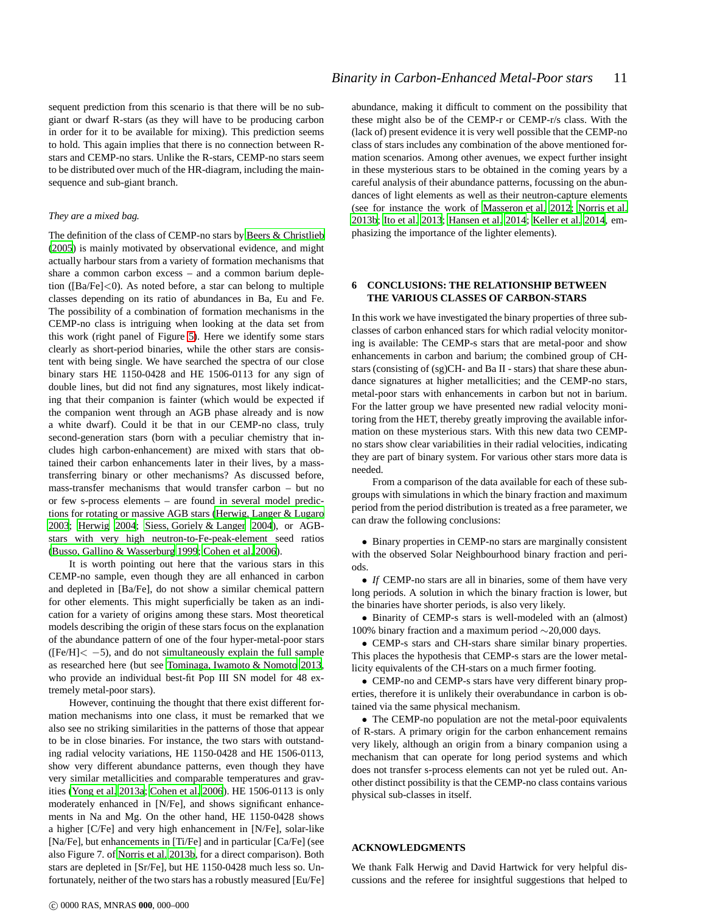sequent prediction from this scenario is that there will be no subgiant or dwarf R-stars (as they will have to be producing carbon in order for it to be available for mixing). This prediction seems to hold. This again implies that there is no connection between Rstars and CEMP-no stars. Unlike the R-stars, CEMP-no stars seem to be distributed over much of the HR-diagram, including the mainsequence and sub-giant branch.

## *They are a mixed bag.*

The definition of the class of CEMP-no stars by [Beers & Christlieb](#page-11-7) [\(2005](#page-11-7)) is mainly motivated by observational evidence, and might actually harbour stars from a variety of formation mechanisms that share a common carbon excess – and a common barium depletion ([Ba/Fe]<0). As noted before, a star can belong to multiple classes depending on its ratio of abundances in Ba, Eu and Fe. The possibility of a combination of formation mechanisms in the CEMP-no class is intriguing when looking at the data set from this work (right panel of Figure [5\)](#page-7-0). Here we identify some stars clearly as short-period binaries, while the other stars are consistent with being single. We have searched the spectra of our close binary stars HE 1150-0428 and HE 1506-0113 for any sign of double lines, but did not find any signatures, most likely indicating that their companion is fainter (which would be expected if the companion went through an AGB phase already and is now a white dwarf). Could it be that in our CEMP-no class, truly second-generation stars (born with a peculiar chemistry that includes high carbon-enhancement) are mixed with stars that obtained their carbon enhancements later in their lives, by a masstransferring binary or other mechanisms? As discussed before, mass-transfer mechanisms that would transfer carbon – but no or few s-process elements – are found in several model predictions for rotating or massive AGB stars [\(Herwig, Langer & Lugaro](#page-11-20) [2003](#page-11-20); [Herwig 2004](#page-11-19); [Siess, Goriely & Langer 2004](#page-12-16)), or AGBstars with very high neutron-to-Fe-peak-element seed ratios [\(Busso, Gallino & Wasserburg 1999;](#page-11-22) [Cohen et al. 2006\)](#page-11-23).

It is worth pointing out here that the various stars in this CEMP-no sample, even though they are all enhanced in carbon and depleted in [Ba/Fe], do not show a similar chemical pattern for other elements. This might superficially be taken as an indication for a variety of origins among these stars. Most theoretical models describing the origin of these stars focus on the explanation of the abundance pattern of one of the four hyper-metal-poor stars  $(Fe/H] < -5$ , and do not simultaneously explain the full sample as researched here (but see [Tominaga, Iwamoto & Nomoto 2013](#page-12-65), who provide an individual best-fit Pop III SN model for 48 extremely metal-poor stars).

However, continuing the thought that there exist different formation mechanisms into one class, it must be remarked that we also see no striking similarities in the patterns of those that appear to be in close binaries. For instance, the two stars with outstanding radial velocity variations, HE 1150-0428 and HE 1506-0113, show very different abundance patterns, even though they have very similar metallicities and comparable temperatures and gravities [\(Yong et al. 2013a](#page-12-0); [Cohen et al. 2006](#page-11-23)). HE 1506-0113 is only moderately enhanced in [N/Fe], and shows significant enhancements in Na and Mg. On the other hand, HE 1150-0428 shows a higher [C/Fe] and very high enhancement in [N/Fe], solar-like [Na/Fe], but enhancements in [Ti/Fe] and in particular [Ca/Fe] (see also Figure 7. of [Norris et al. 2013b](#page-12-13), for a direct comparison). Both stars are depleted in [Sr/Fe], but HE 1150-0428 much less so. Unfortunately, neither of the two stars has a robustly measured [Eu/Fe] abundance, making it difficult to comment on the possibility that these might also be of the CEMP-r or CEMP-r/s class. With the (lack of) present evidence it is very well possible that the CEMP-no class of stars includes any combination of the above mentioned formation scenarios. Among other avenues, we expect further insight in these mysterious stars to be obtained in the coming years by a careful analysis of their abundance patterns, focussing on the abundances of light elements as well as their neutron-capture elements (see for instance the work of [Masseron et al. 2012](#page-12-66); [Norris et al.](#page-12-13) [2013b](#page-12-13); [Ito et al. 2013;](#page-11-21) [Hansen et al. 2014](#page-11-69); [Keller et al. 2014](#page-11-17), emphasizing the importance of the lighter elements).

# **6 CONCLUSIONS: THE RELATIONSHIP BETWEEN THE VARIOUS CLASSES OF CARBON-STARS**

In this work we have investigated the binary properties of three subclasses of carbon enhanced stars for which radial velocity monitoring is available: The CEMP-s stars that are metal-poor and show enhancements in carbon and barium; the combined group of CHstars (consisting of (sg)CH- and Ba II - stars) that share these abundance signatures at higher metallicities; and the CEMP-no stars, metal-poor stars with enhancements in carbon but not in barium. For the latter group we have presented new radial velocity monitoring from the HET, thereby greatly improving the available information on these mysterious stars. With this new data two CEMPno stars show clear variabilities in their radial velocities, indicating they are part of binary system. For various other stars more data is needed.

From a comparison of the data available for each of these subgroups with simulations in which the binary fraction and maximum period from the period distribution is treated as a free parameter, we can draw the following conclusions:

• Binary properties in CEMP-no stars are marginally consistent with the observed Solar Neighbourhood binary fraction and periods.

• *If* CEMP-no stars are all in binaries, some of them have very long periods. A solution in which the binary fraction is lower, but the binaries have shorter periods, is also very likely.

• Binarity of CEMP-s stars is well-modeled with an (almost) 100% binary fraction and a maximum period ∼20,000 days.

• CEMP-s stars and CH-stars share similar binary properties. This places the hypothesis that CEMP-s stars are the lower metallicity equivalents of the CH-stars on a much firmer footing.

• CEMP-no and CEMP-s stars have very different binary properties, therefore it is unlikely their overabundance in carbon is obtained via the same physical mechanism.

• The CEMP-no population are not the metal-poor equivalents of R-stars. A primary origin for the carbon enhancement remains very likely, although an origin from a binary companion using a mechanism that can operate for long period systems and which does not transfer s-process elements can not yet be ruled out. Another distinct possibility is that the CEMP-no class contains various physical sub-classes in itself.

## **ACKNOWLEDGMENTS**

We thank Falk Herwig and David Hartwick for very helpful discussions and the referee for insightful suggestions that helped to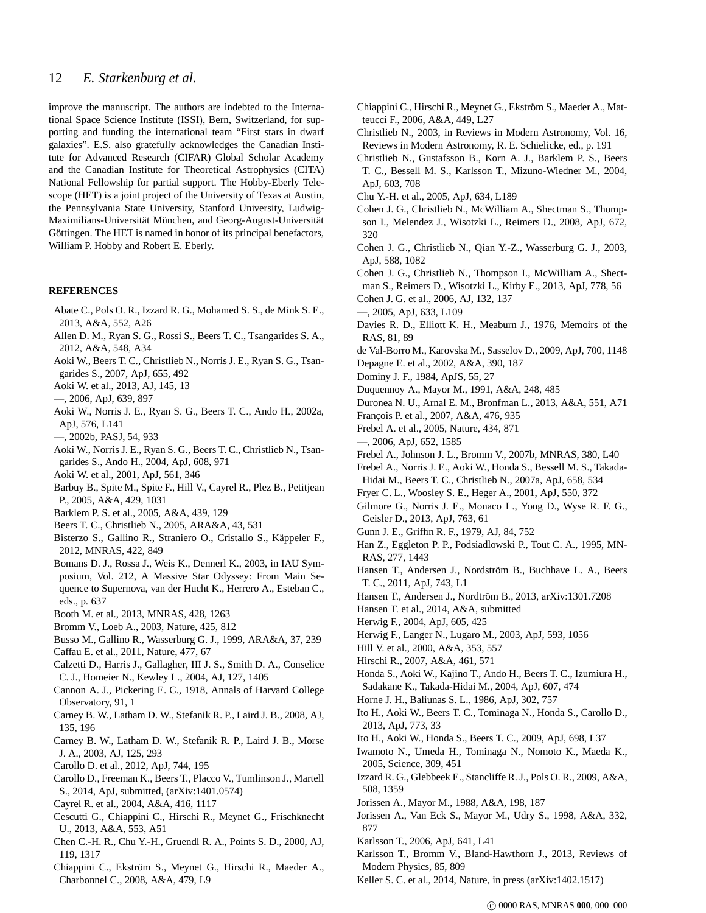# 12 *E. Starkenburg et al.*

improve the manuscript. The authors are indebted to the International Space Science Institute (ISSI), Bern, Switzerland, for supporting and funding the international team "First stars in dwarf galaxies". E.S. also gratefully acknowledges the Canadian Institute for Advanced Research (CIFAR) Global Scholar Academy and the Canadian Institute for Theoretical Astrophysics (CITA) National Fellowship for partial support. The Hobby-Eberly Telescope (HET) is a joint project of the University of Texas at Austin, the Pennsylvania State University, Stanford University, Ludwig-Maximilians-Universität München, and Georg-August-Universität Göttingen. The HET is named in honor of its principal benefactors, William P. Hobby and Robert E. Eberly.

## **REFERENCES**

- <span id="page-11-49"></span>Abate C., Pols O. R., Izzard R. G., Mohamed S. S., de Mink S. E., 2013, A&A, 552, A26
- <span id="page-11-9"></span>Allen D. M., Ryan S. G., Rossi S., Beers T. C., Tsangarides S. A., 2012, A&A, 548, A34
- <span id="page-11-8"></span>Aoki W., Beers T. C., Christlieb N., Norris J. E., Ryan S. G., Tsangarides S., 2007, ApJ, 655, 492
- <span id="page-11-0"></span>Aoki W. et al., 2013, AJ, 145, 13
- <span id="page-11-16"></span>—, 2006, ApJ, 639, 897
- <span id="page-11-41"></span>Aoki W., Norris J. E., Ryan S. G., Beers T. C., Ando H., 2002a, ApJ, 576, L141
- <span id="page-11-42"></span>—, 2002b, PASJ, 54, 933
- <span id="page-11-38"></span>Aoki W., Norris J. E., Ryan S. G., Beers T. C., Christlieb N., Tsangarides S., Ando H., 2004, ApJ, 608, 971
- <span id="page-11-40"></span>Aoki W. et al., 2001, ApJ, 561, 346
- <span id="page-11-44"></span>Barbuy B., Spite M., Spite F., Hill V., Cayrel R., Plez B., Petitjean P., 2005, A&A, 429, 1031
- <span id="page-11-32"></span>Barklem P. S. et al., 2005, A&A, 439, 129
- <span id="page-11-7"></span>Beers T. C., Christlieb N., 2005, ARA&A, 43, 531
- <span id="page-11-10"></span>Bisterzo S., Gallino R., Straniero O., Cristallo S., Käppeler F., 2012, MNRAS, 422, 849
- <span id="page-11-63"></span>Bomans D. J., Rossa J., Weis K., Dennerl K., 2003, in IAU Symposium, Vol. 212, A Massive Star Odyssey: From Main Sequence to Supernova, van der Hucht K., Herrero A., Esteban C., eds., p. 637
- <span id="page-11-66"></span>Booth M. et al., 2013, MNRAS, 428, 1263
- <span id="page-11-12"></span>Bromm V., Loeb A., 2003, Nature, 425, 812
- <span id="page-11-22"></span>Busso M., Gallino R., Wasserburg G. J., 1999, ARA&A, 37, 239
- <span id="page-11-18"></span>Caffau E. et al., 2011, Nature, 477, 67
- <span id="page-11-65"></span>Calzetti D., Harris J., Gallagher, III J. S., Smith D. A., Conselice C. J., Homeier N., Kewley L., 2004, AJ, 127, 1405
- <span id="page-11-67"></span>Cannon A. J., Pickering E. C., 1918, Annals of Harvard College Observatory, 91, 1
- <span id="page-11-35"></span>Carney B. W., Latham D. W., Stefanik R. P., Laird J. B., 2008, AJ, 135, 196
- <span id="page-11-31"></span>Carney B. W., Latham D. W., Stefanik R. P., Laird J. B., Morse J. A., 2003, AJ, 125, 293
- <span id="page-11-5"></span>Carollo D. et al., 2012, ApJ, 744, 195
- <span id="page-11-6"></span>Carollo D., Freeman K., Beers T., Placco V., Tumlinson J., Martell S., 2014, ApJ, submitted, (arXiv:1401.0574)
- <span id="page-11-29"></span>Cayrel R. et al., 2004, A&A, 416, 1117
- <span id="page-11-57"></span>Cescutti G., Chiappini C., Hirschi R., Meynet G., Frischknecht U., 2013, A&A, 553, A51
- <span id="page-11-62"></span>Chen C.-H. R., Chu Y.-H., Gruendl R. A., Points S. D., 2000, AJ, 119, 1317
- <span id="page-11-56"></span>Chiappini C., Ekström S., Meynet G., Hirschi R., Maeder A., Charbonnel C., 2008, A&A, 479, L9
- <span id="page-11-53"></span>Chiappini C., Hirschi R., Meynet G., Ekström S., Maeder A., Matteucci F., 2006, A&A, 449, L27
- <span id="page-11-2"></span>Christlieb N., 2003, in Reviews in Modern Astronomy, Vol. 16, Reviews in Modern Astronomy, R. E. Schielicke, ed., p. 191
- <span id="page-11-14"></span>Christlieb N., Gustafsson B., Korn A. J., Barklem P. S., Beers T. C., Bessell M. S., Karlsson T., Mizuno-Wiedner M., 2004, ApJ, 603, 708
- <span id="page-11-64"></span>Chu Y.-H. et al., 2005, ApJ, 634, L189
- <span id="page-11-26"></span>Cohen J. G., Christlieb N., McWilliam A., Shectman S., Thompson I., Melendez J., Wisotzki L., Reimers D., 2008, ApJ, 672, 320
- <span id="page-11-43"></span>Cohen J. G., Christlieb N., Qian Y.-Z., Wasserburg G. J., 2003, ApJ, 588, 1082
- <span id="page-11-1"></span>Cohen J. G., Christlieb N., Thompson I., McWilliam A., Shect-
- man S., Reimers D., Wisotzki L., Kirby E., 2013, ApJ, 778, 56
- <span id="page-11-23"></span>Cohen J. G. et al., 2006, AJ, 132, 137
- <span id="page-11-3"></span>—, 2005, ApJ, 633, L109
- <span id="page-11-61"></span>Davies R. D., Elliott K. H., Meaburn J., 1976, Memoirs of the RAS, 81, 89
- <span id="page-11-48"></span>de Val-Borro M., Karovska M., Sasselov D., 2009, ApJ, 700, 1148
- <span id="page-11-33"></span>Depagne E. et al., 2002, A&A, 390, 187
- <span id="page-11-68"></span>Dominy J. F., 1984, ApJS, 55, 27
- <span id="page-11-37"></span>Duquennoy A., Mayor M., 1991, A&A, 248, 485
- <span id="page-11-60"></span>Duronea N. U., Arnal E. M., Bronfman L., 2013, A&A, 551, A71
- <span id="page-11-30"></span>François P. et al., 2007, A&A, 476, 935
- <span id="page-11-15"></span>Frebel A. et al., 2005, Nature, 434, 871
- <span id="page-11-4"></span>—, 2006, ApJ, 652, 1585
- <span id="page-11-59"></span>Frebel A., Johnson J. L., Bromm V., 2007b, MNRAS, 380, L40
- <span id="page-11-27"></span>Frebel A., Norris J. E., Aoki W., Honda S., Bessell M. S., Takada-Hidai M., Beers T. C., Christlieb N., 2007a, ApJ, 658, 534
- <span id="page-11-52"></span>Fryer C. L., Woosley S. E., Heger A., 2001, ApJ, 550, 372
- <span id="page-11-13"></span>Gilmore G., Norris J. E., Monaco L., Yong D., Wyse R. F. G., Geisler D., 2013, ApJ, 763, 61
- <span id="page-11-34"></span>Gunn J. E., Griffin R. F., 1979, AJ, 84, 752
- <span id="page-11-47"></span>Han Z., Eggleton P. P., Podsiadlowski P., Tout C. A., 1995, MN-RAS, 277, 1443
- <span id="page-11-11"></span>Hansen T., Andersen J., Nordström B., Buchhave L. A., Beers T. C., 2011, ApJ, 743, L1
- <span id="page-11-24"></span>Hansen T., Andersen J., Nordtröm B., 2013, arXiv:1301.7208
- <span id="page-11-69"></span>Hansen T. et al., 2014, A&A, submitted
- <span id="page-11-19"></span>Herwig F., 2004, ApJ, 605, 425
- <span id="page-11-20"></span>Herwig F., Langer N., Lugaro M., 2003, ApJ, 593, 1056
- <span id="page-11-39"></span>Hill V. et al., 2000, A&A, 353, 557
- <span id="page-11-55"></span>Hirschi R., 2007, A&A, 461, 571
- <span id="page-11-28"></span>Honda S., Aoki W., Kajino T., Ando H., Beers T. C., Izumiura H.,
- Sadakane K., Takada-Hidai M., 2004, ApJ, 607, 474
- <span id="page-11-36"></span>Horne J. H., Baliunas S. L., 1986, ApJ, 302, 757
- <span id="page-11-21"></span>Ito H., Aoki W., Beers T. C., Tominaga N., Honda S., Carollo D., 2013, ApJ, 773, 33
- <span id="page-11-25"></span>Ito H., Aoki W., Honda S., Beers T. C., 2009, ApJ, 698, L37
- <span id="page-11-58"></span>Iwamoto N., Umeda H., Tominaga N., Nomoto K., Maeda K., 2005, Science, 309, 451
- <span id="page-11-50"></span>Izzard R. G., Glebbeek E., Stancliffe R. J., Pols O. R., 2009, A&A, 508, 1359
- <span id="page-11-45"></span>Jorissen A., Mayor M., 1988, A&A, 198, 187
- <span id="page-11-46"></span>Jorissen A., Van Eck S., Mayor M., Udry S., 1998, A&A, 332, 877
- <span id="page-11-54"></span>Karlsson T., 2006, ApJ, 641, L41
- <span id="page-11-51"></span>Karlsson T., Bromm V., Bland-Hawthorn J., 2013, Reviews of Modern Physics, 85, 809
- <span id="page-11-17"></span>Keller S. C. et al., 2014, Nature, in press (arXiv:1402.1517)